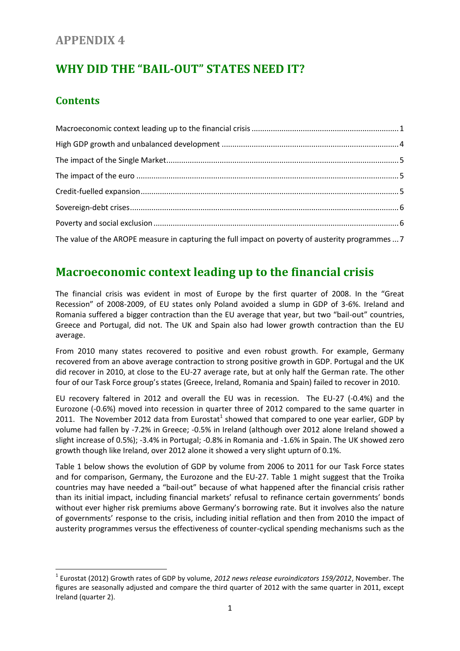### **APPENDIX 4**

# **WHY DID THE "BAIL-OUT" STATES NEED IT?**

#### **Contents**

 $\overline{a}$ 

| The value of the AROPE measure in capturing the full impact on poverty of austerity programmes  7 |  |
|---------------------------------------------------------------------------------------------------|--|

# <span id="page-0-0"></span>**Macroeconomic context leading up to the financial crisis**

The financial crisis was evident in most of Europe by the first quarter of 2008. In the "Great Recession" of 2008-2009, of EU states only Poland avoided a slump in GDP of 3-6%. Ireland and Romania suffered a bigger contraction than the EU average that year, but two "bail-out" countries, Greece and Portugal, did not. The UK and Spain also had lower growth contraction than the EU average.

From 2010 many states recovered to positive and even robust growth. For example, Germany recovered from an above average contraction to strong positive growth in GDP. Portugal and the UK did recover in 2010, at close to the EU-27 average rate, but at only half the German rate. The other four of our Task Force group's states (Greece, Ireland, Romania and Spain) failed to recover in 2010.

EU recovery faltered in 2012 and overall the EU was in recession. The EU-27 (-0.4%) and the Eurozone (-0.6%) moved into recession in quarter three of 2012 compared to the same quarter in 2011. The November 2012 data from Eurostat<sup>1</sup> showed that compared to one year earlier, GDP by volume had fallen by -7.2% in Greece; -0.5% in Ireland (although over 2012 alone Ireland showed a slight increase of 0.5%); -3.4% in Portugal; -0.8% in Romania and -1.6% in Spain. The UK showed zero growth though like Ireland, over 2012 alone it showed a very slight upturn of 0.1%.

Table 1 below shows the evolution of GDP by volume from 2006 to 2011 for our Task Force states and for comparison, Germany, the Eurozone and the EU-27. Table 1 might suggest that the Troika countries may have needed a "bail-out" because of what happened after the financial crisis rather than its initial impact, including financial markets' refusal to refinance certain governments' bonds without ever higher risk premiums above Germany's borrowing rate. But it involves also the nature of governments' response to the crisis, including initial reflation and then from 2010 the impact of austerity programmes versus the effectiveness of counter-cyclical spending mechanisms such as the

<sup>1</sup> Eurostat (2012) Growth rates of GDP by volume, *2012 news release euroindicators 159/2012*, November. The figures are seasonally adjusted and compare the third quarter of 2012 with the same quarter in 2011, except Ireland (quarter 2).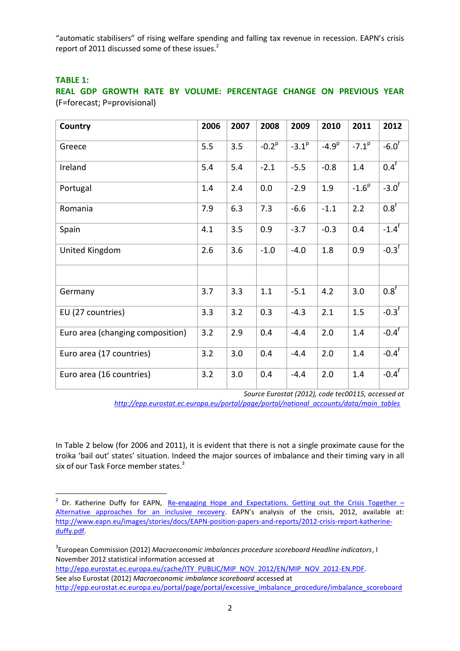"automatic stabilisers" of rising welfare spending and falling tax revenue in recession. EAPN's crisis report of 2011 discussed some of these issues.<sup>2</sup>

#### **TABLE 1:**

**.** 

**REAL GDP GROWTH RATE BY VOLUME: PERCENTAGE CHANGE ON PREVIOUS YEAR**  (F=forecast; P=provisional)

| Country                          | 2006 | 2007 | 2008       | 2009       | 2010       | 2011       | 2012             |
|----------------------------------|------|------|------------|------------|------------|------------|------------------|
| Greece                           | 5.5  | 3.5  | $-0.2^{p}$ | $-3.1^{p}$ | $-4.9^{p}$ | $-7.1^{p}$ | $-6.0^f$         |
| Ireland                          | 5.4  | 5.4  | $-2.1$     | $-5.5$     | $-0.8$     | 1.4        | 0.4 <sup>f</sup> |
| Portugal                         | 1.4  | 2.4  | 0.0        | $-2.9$     | 1.9        | $-1.6^{p}$ | $-3.0^{\dagger}$ |
| Romania                          | 7.9  | 6.3  | 7.3        | $-6.6$     | $-1.1$     | 2.2        | 0.8 <sup>f</sup> |
| Spain                            | 4.1  | 3.5  | 0.9        | $-3.7$     | $-0.3$     | 0.4        | $-1.4^f$         |
| United Kingdom                   | 2.6  | 3.6  | $-1.0$     | $-4.0$     | 1.8        | 0.9        | $-0.3^f$         |
|                                  |      |      |            |            |            |            |                  |
| Germany                          | 3.7  | 3.3  | 1.1        | $-5.1$     | 4.2        | 3.0        | 0.8 <sup>f</sup> |
| EU (27 countries)                | 3.3  | 3.2  | 0.3        | $-4.3$     | 2.1        | 1.5        | $-0.3^f$         |
| Euro area (changing composition) | 3.2  | 2.9  | 0.4        | $-4.4$     | 2.0        | 1.4        | $-0.4^f$         |
| Euro area (17 countries)         | 3.2  | 3.0  | 0.4        | $-4.4$     | 2.0        | 1.4        | $-0.4^{\dagger}$ |
| Euro area (16 countries)         | 3.2  | 3.0  | 0.4        | $-4.4$     | 2.0        | 1.4        | $-0.4^f$         |

*Source Eurostat (2012), code tec00115, accessed at* 

*[http://epp.eurostat.ec.europa.eu/portal/page/portal/national\\_accounts/data/main\\_tables](http://epp.eurostat.ec.europa.eu/portal/page/portal/national_accounts/data/main_tables)*

In Table 2 below (for 2006 and 2011), it is evident that there is not a single proximate cause for the troika 'bail out' states' situation. Indeed the major sources of imbalance and their timing vary in all six of our Task Force member states.<sup>3</sup>

<sup>&</sup>lt;sup>2</sup> Dr. Katherine Duffy for EAPN, Re-engaging Hope and [Expectations.](http://www.eapn.eu/en/news-and-publications/publications/eapn-position-papers-and-reports/eapns-new-position-paper-on-the-crisis-re-engaging-hope-and-expectations-getting-out-the-crisis-together-alternative-approaches-for-an-inclusive-recovery) Getting out the Crisis Together -Alternative [approaches](http://www.eapn.eu/en/news-and-publications/publications/eapn-position-papers-and-reports/eapns-new-position-paper-on-the-crisis-re-engaging-hope-and-expectations-getting-out-the-crisis-together-alternative-approaches-for-an-inclusive-recovery) for an inclusive recovery. EAPN's analysis of the crisis, 2012, available at: [http://www.eapn.eu/images/stories/docs/EAPN-position-papers-and-reports/2012-crisis-report-katherine](http://www.eapn.eu/images/stories/docs/EAPN-position-papers-and-reports/2012-crisis-report-katherine-duffy.pdf)[duffy.pdf.](http://www.eapn.eu/images/stories/docs/EAPN-position-papers-and-reports/2012-crisis-report-katherine-duffy.pdf)

<sup>3</sup> European Commission (2012) *Macroeconomic imbalances procedure scoreboard Headline indicators*, I November 2012 statistical information accessed at

[http://epp.eurostat.ec.europa.eu/cache/ITY\\_PUBLIC/MIP\\_NOV\\_2012/EN/MIP\\_NOV\\_2012-EN.PDF.](http://epp.eurostat.ec.europa.eu/cache/ITY_PUBLIC/MIP_NOV_2012/EN/MIP_NOV_2012-EN.PDF) See also Eurostat (2012) *Macroeconomic imbalance scoreboard* accessed at [http://epp.eurostat.ec.europa.eu/portal/page/portal/excessive\\_imbalance\\_procedure/imbalance\\_scoreboard](http://epp.eurostat.ec.europa.eu/portal/page/portal/excessive_imbalance_procedure/imbalance_scoreboard)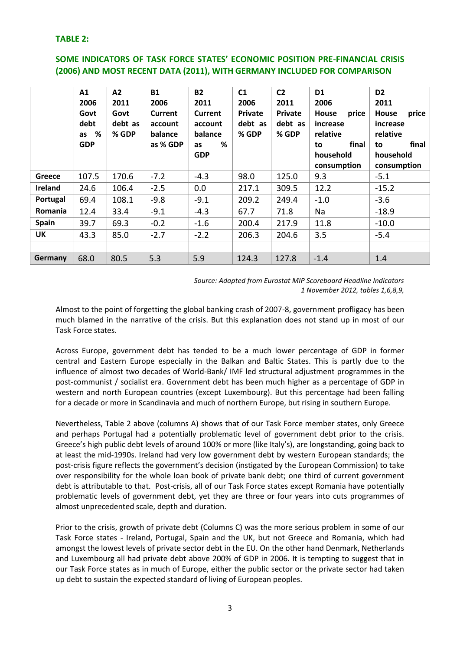#### **TABLE 2:**

#### **SOME INDICATORS OF TASK FORCE STATES' ECONOMIC POSITION PRE-FINANCIAL CRISIS (2006) AND MOST RECENT DATA (2011), WITH GERMANY INCLUDED FOR COMPARISON**

|              | A1         | A2      | <b>B1</b>      | <b>B2</b>      | C1      | C <sub>2</sub> | D <sub>1</sub>        | D <sub>2</sub>        |
|--------------|------------|---------|----------------|----------------|---------|----------------|-----------------------|-----------------------|
|              | 2006       | 2011    | 2006           | 2011           | 2006    | 2011           | 2006                  | 2011                  |
|              | Govt       | Govt    | <b>Current</b> | <b>Current</b> | Private | Private        | <b>House</b><br>price | <b>House</b><br>price |
|              | debt       | debt as | account        | account        | debt as | debt as        | increase              | increase              |
|              | %<br>as    | % GDP   | balance        | balance        | % GDP   | % GDP          | relative              | relative              |
|              | <b>GDP</b> |         | as % GDP       | %<br>as        |         |                | final<br>to           | final<br>to           |
|              |            |         |                | <b>GDP</b>     |         |                | household             | household             |
|              |            |         |                |                |         |                | consumption           | consumption           |
| Greece       | 107.5      | 170.6   | $-7.2$         | $-4.3$         | 98.0    | 125.0          | 9.3                   | $-5.1$                |
| Ireland      | 24.6       | 106.4   | $-2.5$         | 0.0            | 217.1   | 309.5          | 12.2                  | $-15.2$               |
| Portugal     | 69.4       | 108.1   | $-9.8$         | $-9.1$         | 209.2   | 249.4          | $-1.0$                | $-3.6$                |
| Romania      | 12.4       | 33.4    | $-9.1$         | $-4.3$         | 67.7    | 71.8           | Na                    | $-18.9$               |
| <b>Spain</b> | 39.7       | 69.3    | $-0.2$         | $-1.6$         | 200.4   | 217.9          | 11.8                  | $-10.0$               |
| UK           | 43.3       | 85.0    | $-2.7$         | $-2.2$         | 206.3   | 204.6          | 3.5                   | $-5.4$                |
|              |            |         |                |                |         |                |                       |                       |
| Germany      | 68.0       | 80.5    | 5.3            | 5.9            | 124.3   | 127.8          | $-1.4$                | 1.4                   |

*Source: Adapted from Eurostat MIP Scoreboard Headline Indicators 1 November 2012, tables 1,6,8,9,* 

Almost to the point of forgetting the global banking crash of 2007-8, government profligacy has been much blamed in the narrative of the crisis. But this explanation does not stand up in most of our Task Force states.

Across Europe, government debt has tended to be a much lower percentage of GDP in former central and Eastern Europe especially in the Balkan and Baltic States. This is partly due to the influence of almost two decades of World-Bank/ IMF led structural adjustment programmes in the post-communist / socialist era. Government debt has been much higher as a percentage of GDP in western and north European countries (except Luxembourg). But this percentage had been falling for a decade or more in Scandinavia and much of northern Europe, but rising in southern Europe.

Nevertheless, Table 2 above (columns A) shows that of our Task Force member states, only Greece and perhaps Portugal had a potentially problematic level of government debt prior to the crisis. Greece's high public debt levels of around 100% or more (like Italy's), are longstanding, going back to at least the mid-1990s. Ireland had very low government debt by western European standards; the post-crisis figure reflects the government's decision (instigated by the European Commission) to take over responsibility for the whole loan book of private bank debt; one third of current government debt is attributable to that. Post-crisis, all of our Task Force states except Romania have potentially problematic levels of government debt, yet they are three or four years into cuts programmes of almost unprecedented scale, depth and duration.

Prior to the crisis, growth of private debt (Columns C) was the more serious problem in some of our Task Force states - Ireland, Portugal, Spain and the UK, but not Greece and Romania, which had amongst the lowest levels of private sector debt in the EU. On the other hand Denmark, Netherlands and Luxembourg all had private debt above 200% of GDP in 2006. It is tempting to suggest that in our Task Force states as in much of Europe, either the public sector or the private sector had taken up debt to sustain the expected standard of living of European peoples.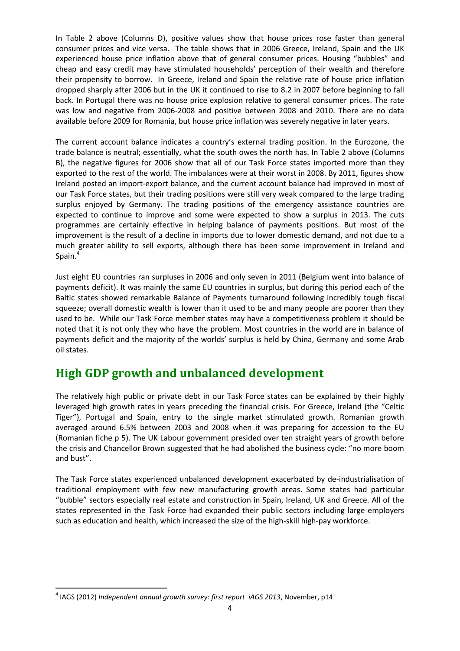In Table 2 above (Columns D), positive values show that house prices rose faster than general consumer prices and vice versa. The table shows that in 2006 Greece, Ireland, Spain and the UK experienced house price inflation above that of general consumer prices. Housing "bubbles" and cheap and easy credit may have stimulated households' perception of their wealth and therefore their propensity to borrow. In Greece, Ireland and Spain the relative rate of house price inflation dropped sharply after 2006 but in the UK it continued to rise to 8.2 in 2007 before beginning to fall back. In Portugal there was no house price explosion relative to general consumer prices. The rate was low and negative from 2006-2008 and positive between 2008 and 2010. There are no data available before 2009 for Romania, but house price inflation was severely negative in later years.

The current account balance indicates a country's external trading position. In the Eurozone, the trade balance is neutral; essentially, what the south owes the north has. In Table 2 above (Columns B), the negative figures for 2006 show that all of our Task Force states imported more than they exported to the rest of the world. The imbalances were at their worst in 2008. By 2011, figures show Ireland posted an import-export balance, and the current account balance had improved in most of our Task Force states, but their trading positions were still very weak compared to the large trading surplus enjoyed by Germany. The trading positions of the emergency assistance countries are expected to continue to improve and some were expected to show a surplus in 2013. The cuts programmes are certainly effective in helping balance of payments positions. But most of the improvement is the result of a decline in imports due to lower domestic demand, and not due to a much greater ability to sell exports, although there has been some improvement in Ireland and Spain.<sup>4</sup>

Just eight EU countries ran surpluses in 2006 and only seven in 2011 (Belgium went into balance of payments deficit). It was mainly the same EU countries in surplus, but during this period each of the Baltic states showed remarkable Balance of Payments turnaround following incredibly tough fiscal squeeze; overall domestic wealth is lower than it used to be and many people are poorer than they used to be. While our Task Force member states may have a competitiveness problem it should be noted that it is not only they who have the problem. Most countries in the world are in balance of payments deficit and the majority of the worlds' surplus is held by China, Germany and some Arab oil states.

# <span id="page-3-0"></span>**High GDP growth and unbalanced development**

The relatively high public or private debt in our Task Force states can be explained by their highly leveraged high growth rates in years preceding the financial crisis. For Greece, Ireland (the "Celtic Tiger"), Portugal and Spain, entry to the single market stimulated growth. Romanian growth averaged around 6.5% between 2003 and 2008 when it was preparing for accession to the EU (Romanian fiche p 5). The UK Labour government presided over ten straight years of growth before the crisis and Chancellor Brown suggested that he had abolished the business cycle: "no more boom and bust".

The Task Force states experienced unbalanced development exacerbated by de-industrialisation of traditional employment with few new manufacturing growth areas. Some states had particular "bubble" sectors especially real estate and construction in Spain, Ireland, UK and Greece. All of the states represented in the Task Force had expanded their public sectors including large employers such as education and health, which increased the size of the high-skill high-pay workforce.

**<sup>.</sup>** 4 IAGS (2012) *Independent annual growth survey: first report iAGS 2013*, November, p14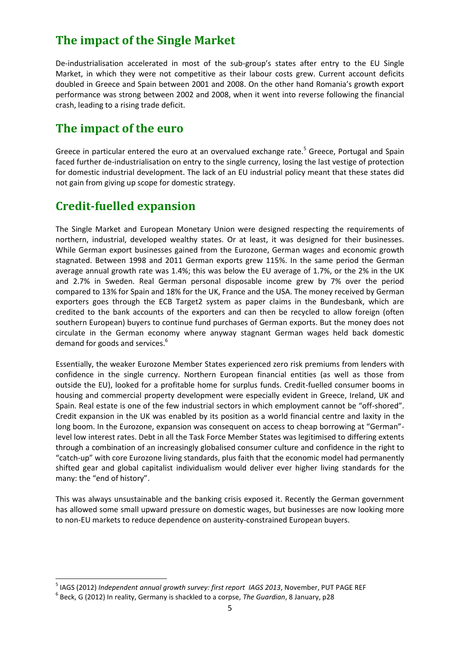# <span id="page-4-0"></span>**The impact of the Single Market**

De-industrialisation accelerated in most of the sub-group's states after entry to the EU Single Market, in which they were not competitive as their labour costs grew. Current account deficits doubled in Greece and Spain between 2001 and 2008. On the other hand Romania's growth export performance was strong between 2002 and 2008, when it went into reverse following the financial crash, leading to a rising trade deficit.

### <span id="page-4-1"></span>**The impact of the euro**

Greece in particular entered the euro at an overvalued exchange rate.<sup>5</sup> Greece, Portugal and Spain faced further de-industrialisation on entry to the single currency, losing the last vestige of protection for domestic industrial development. The lack of an EU industrial policy meant that these states did not gain from giving up scope for domestic strategy.

# <span id="page-4-2"></span>**Credit-fuelled expansion**

The Single Market and European Monetary Union were designed respecting the requirements of northern, industrial, developed wealthy states. Or at least, it was designed for their businesses. While German export businesses gained from the Eurozone, German wages and economic growth stagnated. Between 1998 and 2011 German exports grew 115%. In the same period the German average annual growth rate was 1.4%; this was below the EU average of 1.7%, or the 2% in the UK and 2.7% in Sweden. Real German personal disposable income grew by 7% over the period compared to 13% for Spain and 18% for the UK, France and the USA. The money received by German exporters goes through the ECB Target2 system as paper claims in the Bundesbank, which are credited to the bank accounts of the exporters and can then be recycled to allow foreign (often southern European) buyers to continue fund purchases of German exports. But the money does not circulate in the German economy where anyway stagnant German wages held back domestic demand for goods and services.<sup>6</sup>

Essentially, the weaker Eurozone Member States experienced zero risk premiums from lenders with confidence in the single currency. Northern European financial entities (as well as those from outside the EU), looked for a profitable home for surplus funds. Credit-fuelled consumer booms in housing and commercial property development were especially evident in Greece, Ireland, UK and Spain. Real estate is one of the few industrial sectors in which employment cannot be "off-shored". Credit expansion in the UK was enabled by its position as a world financial centre and laxity in the long boom. In the Eurozone, expansion was consequent on access to cheap borrowing at "German"level low interest rates. Debt in all the Task Force Member States was legitimised to differing extents through a combination of an increasingly globalised consumer culture and confidence in the right to "catch-up" with core Eurozone living standards, plus faith that the economic model had permanently shifted gear and global capitalist individualism would deliver ever higher living standards for the many: the "end of history".

This was always unsustainable and the banking crisis exposed it. Recently the German government has allowed some small upward pressure on domestic wages, but businesses are now looking more to non-EU markets to reduce dependence on austerity-constrained European buyers.

1

<sup>5</sup> IAGS (2012) *Independent annual growth survey: first report IAGS 2013*, November, PUT PAGE REF

<sup>6</sup> Beck, G (2012) In reality, Germany is shackled to a corpse, *The Guardian*, 8 January, p28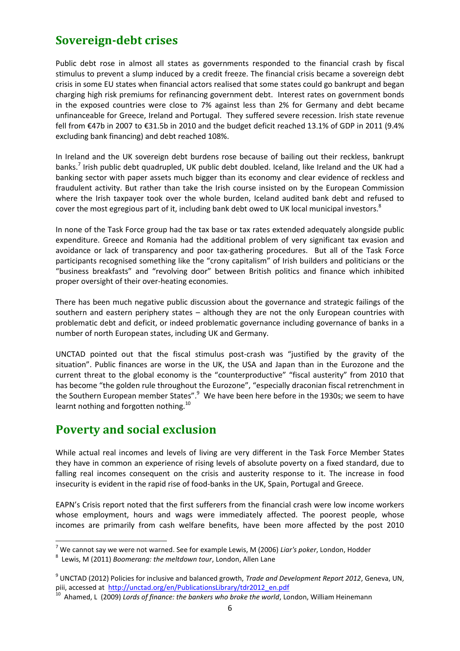# <span id="page-5-0"></span>**Sovereign-debt crises**

Public debt rose in almost all states as governments responded to the financial crash by fiscal stimulus to prevent a slump induced by a credit freeze. The financial crisis became a sovereign debt crisis in some EU states when financial actors realised that some states could go bankrupt and began charging high risk premiums for refinancing government debt. Interest rates on government bonds in the exposed countries were close to 7% against less than 2% for Germany and debt became unfinanceable for Greece, Ireland and Portugal. They suffered severe recession. Irish state revenue fell from €47b in 2007 to €31.5b in 2010 and the budget deficit reached 13.1% of GDP in 2011 (9.4% excluding bank financing) and debt reached 108%.

In Ireland and the UK sovereign debt burdens rose because of bailing out their reckless, bankrupt banks.<sup>7</sup> Irish public debt quadrupled, UK public debt doubled. Iceland, like Ireland and the UK had a banking sector with paper assets much bigger than its economy and clear evidence of reckless and fraudulent activity. But rather than take the Irish course insisted on by the European Commission where the Irish taxpayer took over the whole burden, Iceland audited bank debt and refused to cover the most egregious part of it, including bank debt owed to UK local municipal investors.<sup>8</sup>

In none of the Task Force group had the tax base or tax rates extended adequately alongside public expenditure. Greece and Romania had the additional problem of very significant tax evasion and avoidance or lack of transparency and poor tax-gathering procedures. But all of the Task Force participants recognised something like the "crony capitalism" of Irish builders and politicians or the "business breakfasts" and "revolving door" between British politics and finance which inhibited proper oversight of their over-heating economies.

There has been much negative public discussion about the governance and strategic failings of the southern and eastern periphery states – although they are not the only European countries with problematic debt and deficit, or indeed problematic governance including governance of banks in a number of north European states, including UK and Germany.

UNCTAD pointed out that the fiscal stimulus post-crash was "justified by the gravity of the situation". Public finances are worse in the UK, the USA and Japan than in the Eurozone and the current threat to the global economy is the "counterproductive" "fiscal austerity" from 2010 that has become "the golden rule throughout the Eurozone", "especially draconian fiscal retrenchment in the Southern European member States".<sup>9</sup> We have been here before in the 1930s; we seem to have learnt nothing and forgotten nothing.<sup>10</sup>

# <span id="page-5-1"></span>**Poverty and social exclusion**

**.** 

While actual real incomes and levels of living are very different in the Task Force Member States they have in common an experience of rising levels of absolute poverty on a fixed standard, due to falling real incomes consequent on the crisis and austerity response to it. The increase in food insecurity is evident in the rapid rise of food-banks in the UK, Spain, Portugal and Greece.

EAPN's Crisis report noted that the first sufferers from the financial crash were low income workers whose employment, hours and wags were immediately affected. The poorest people, whose incomes are primarily from cash welfare benefits, have been more affected by the post 2010

<sup>7</sup> We cannot say we were not warned. See for example Lewis, M (2006) *Liar's poker*, London, Hodder

<sup>8</sup> Lewis, M (2011) *Boomerang: the meltdown tour*, London, Allen Lane

<sup>9</sup> UNCTAD (2012) Policies for inclusive and balanced growth, *Trade and Development Report 2012*, Geneva, UN, piii, accessed at [http://unctad.org/en/PublicationsLibrary/tdr2012\\_en.pdf](http://unctad.org/en/PublicationsLibrary/tdr2012_en.pdf)

<sup>&</sup>lt;sup>10</sup> Ahamed, L (2009) Lords of finance: the bankers who broke the world, London, William Heinemann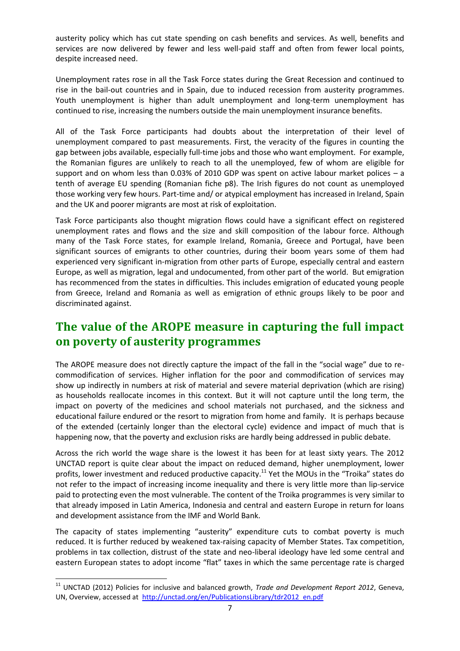austerity policy which has cut state spending on cash benefits and services. As well, benefits and services are now delivered by fewer and less well-paid staff and often from fewer local points, despite increased need.

Unemployment rates rose in all the Task Force states during the Great Recession and continued to rise in the bail-out countries and in Spain, due to induced recession from austerity programmes. Youth unemployment is higher than adult unemployment and long-term unemployment has continued to rise, increasing the numbers outside the main unemployment insurance benefits.

All of the Task Force participants had doubts about the interpretation of their level of unemployment compared to past measurements. First, the veracity of the figures in counting the gap between jobs available, especially full-time jobs and those who want employment. For example, the Romanian figures are unlikely to reach to all the unemployed, few of whom are eligible for support and on whom less than 0.03% of 2010 GDP was spent on active labour market polices – a tenth of average EU spending (Romanian fiche p8). The Irish figures do not count as unemployed those working very few hours. Part-time and/ or atypical employment has increased in Ireland, Spain and the UK and poorer migrants are most at risk of exploitation.

Task Force participants also thought migration flows could have a significant effect on registered unemployment rates and flows and the size and skill composition of the labour force. Although many of the Task Force states, for example Ireland, Romania, Greece and Portugal, have been significant sources of emigrants to other countries, during their boom years some of them had experienced very significant in-migration from other parts of Europe, especially central and eastern Europe, as well as migration, legal and undocumented, from other part of the world. But emigration has recommenced from the states in difficulties. This includes emigration of educated young people from Greece, Ireland and Romania as well as emigration of ethnic groups likely to be poor and discriminated against.

# <span id="page-6-0"></span>**The value of the AROPE measure in capturing the full impact on poverty of austerity programmes**

The AROPE measure does not directly capture the impact of the fall in the "social wage" due to recommodification of services. Higher inflation for the poor and commodification of services may show up indirectly in numbers at risk of material and severe material deprivation (which are rising) as households reallocate incomes in this context. But it will not capture until the long term, the impact on poverty of the medicines and school materials not purchased, and the sickness and educational failure endured or the resort to migration from home and family. It is perhaps because of the extended (certainly longer than the electoral cycle) evidence and impact of much that is happening now, that the poverty and exclusion risks are hardly being addressed in public debate.

Across the rich world the wage share is the lowest it has been for at least sixty years. The 2012 UNCTAD report is quite clear about the impact on reduced demand, higher unemployment, lower profits, lower investment and reduced productive capacity.<sup>11</sup> Yet the MOUs in the "Troika" states do not refer to the impact of increasing income inequality and there is very little more than lip-service paid to protecting even the most vulnerable. The content of the Troika programmes is very similar to that already imposed in Latin America, Indonesia and central and eastern Europe in return for loans and development assistance from the IMF and World Bank.

The capacity of states implementing "austerity" expenditure cuts to combat poverty is much reduced. It is further reduced by weakened tax-raising capacity of Member States. Tax competition, problems in tax collection, distrust of the state and neo-liberal ideology have led some central and eastern European states to adopt income "flat" taxes in which the same percentage rate is charged

1

<sup>11</sup> UNCTAD (2012) Policies for inclusive and balanced growth, *Trade and Development Report 2012*, Geneva, UN, Overview, accessed at [http://unctad.org/en/PublicationsLibrary/tdr2012\\_en.pdf](http://unctad.org/en/PublicationsLibrary/tdr2012_en.pdf)